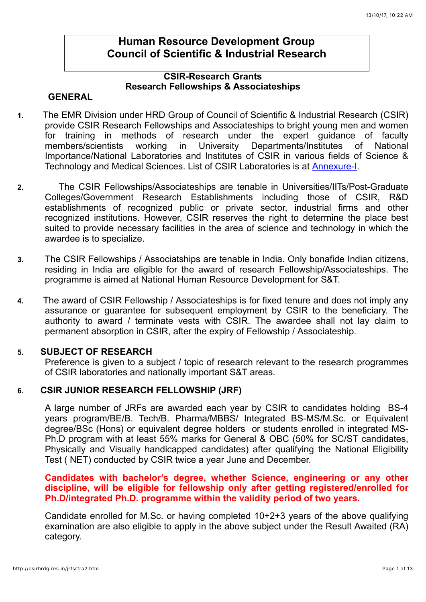# **Human Resource Development Group Council of Scientific & Industrial Research**

## **CSIR-Research Grants Research Fellowships & Associateships**

### **GENERAL**

- **1.** The EMR Division under HRD Group of Council of Scientific & Industrial Research (CSIR) provide CSIR Research Fellowships and Associateships to bright young men and women for training in methods of research under the expert guidance of faculty members/scientists working in University Departments/Institutes of National Importance/National Laboratories and Institutes of CSIR in various fields of Science & Technology and Medical Sciences. List of CSIR Laboratories is at [Annexure-I](http://www.csirhrdg.res.in/srf_anx_1.pdf).
- **2.** The CSIR Fellowships/Associateships are tenable in Universities/IITs/Post-Graduate Colleges/Government Research Establishments including those of CSIR, R&D establishments of recognized public or private sector, industrial firms and other recognized institutions. However, CSIR reserves the right to determine the place best suited to provide necessary facilities in the area of science and technology in which the awardee is to specialize.
- **3.** The CSIR Fellowships / Associatships are tenable in India. Only bonafide Indian citizens, residing in India are eligible for the award of research Fellowship/Associateships. The programme is aimed at National Human Resource Development for S&T.
- **4.** The award of CSIR Fellowship / Associateships is for fixed tenure and does not imply any assurance or guarantee for subsequent employment by CSIR to the beneficiary. The authority to award / terminate vests with CSIR. The awardee shall not lay claim to permanent absorption in CSIR, after the expiry of Fellowship / Associateship.

#### **5. SUBJECT OF RESEARCH**

Preference is given to a subject / topic of research relevant to the research programmes of CSIR laboratories and nationally important S&T areas.

## **6. CSIR JUNIOR RESEARCH FELLOWSHIP (JRF)**

A large number of JRFs are awarded each year by CSIR to candidates holding BS-4 years program/BE/B. Tech/B. Pharma/MBBS/ Integrated BS-MS/M.Sc. or Equivalent degree/BSc (Hons) or equivalent degree holders or students enrolled in integrated MS-Ph.D program with at least 55% marks for General & OBC (50% for SC/ST candidates, Physically and Visually handicapped candidates) after qualifying the National Eligibility Test ( NET) conducted by CSIR twice a year June and December.

#### **Candidates with bachelor's degree, whether Science, engineering or any other discipline, will be eligible for fellowship only after getting registered/enrolled for Ph.D/integrated Ph.D. programme within the validity period of two years.**

Candidate enrolled for M.Sc. or having completed 10+2+3 years of the above qualifying examination are also eligible to apply in the above subject under the Result Awaited (RA) category.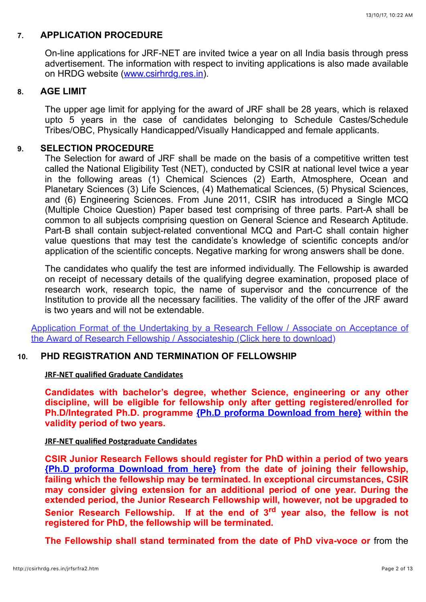### **7. APPLICATION PROCEDURE**

On-line applications for JRF-NET are invited twice a year on all India basis through press advertisement. The information with respect to inviting applications is also made available on HRDG website [\(www.csirhrdg.res.in](http://www.csirhrdg.res.in/)).

### **8. AGE LIMIT**

The upper age limit for applying for the award of JRF shall be 28 years, which is relaxed upto 5 years in the case of candidates belonging to Schedule Castes/Schedule Tribes/OBC, Physically Handicapped/Visually Handicapped and female applicants.

### **9. SELECTION PROCEDURE**

The Selection for award of JRF shall be made on the basis of a competitive written test called the National Eligibility Test (NET), conducted by CSIR at national level twice a year in the following areas (1) Chemical Sciences (2) Earth, Atmosphere, Ocean and Planetary Sciences (3) Life Sciences, (4) Mathematical Sciences, (5) Physical Sciences, and (6) Engineering Sciences. From June 2011, CSIR has introduced a Single MCQ (Multiple Choice Question) Paper based test comprising of three parts. Part-A shall be common to all subjects comprising question on General Science and Research Aptitude. Part-B shall contain subject-related conventional MCQ and Part-C shall contain higher value questions that may test the candidate's knowledge of scientific concepts and/or application of the scientific concepts. Negative marking for wrong answers shall be done.

The candidates who qualify the test are informed individually. The Fellowship is awarded on receipt of necessary details of the qualifying degree examination, proposed place of research work, research topic, the name of supervisor and the concurrence of the Institution to provide all the necessary facilities. The validity of the offer of the JRF award is two years and will not be extendable.

[Application Format of the Undertaking by a Research Fellow / Associate on Acceptance of](http://www.csirhrdg.res.in/Undertaking_Form.pdf) the Award of Research Fellowship / Associateship (Click here to download)

### **10. PHD REGISTRATION AND TERMINATION OF FELLOWSHIP**

#### **JRF-NET qualified Graduate Candidates**

**Candidates with bachelor's degree, whether Science, engineering or any other discipline, will be eligible for fellowship only after getting registered/enrolled for Ph.D/Integrated Ph.D. programme [{Ph.D proforma Download from here}](http://www.csirhrdg.res.in/PhD_Reg_proforma.pdf) within the validity period of two years.**

#### **JRF-NET qualified Postgraduate Candidates**

**CSIR Junior Research Fellows should register for PhD within a period of two years [{Ph.D proforma Download from here}](http://www.csirhrdg.res.in/PhD_Reg_proforma.pdf) from the date of joining their fellowship, failing which the fellowship may be terminated. In exceptional circumstances, CSIR may consider giving extension for an additional period of one year. During the extended period, the Junior Research Fellowship will, however, not be upgraded to Senior Research Fellowship. If at the end of 3rd year also, the fellow is not registered for PhD, the fellowship will be terminated.**

**The Fellowship shall stand terminated from the date of PhD viva-voce or** from the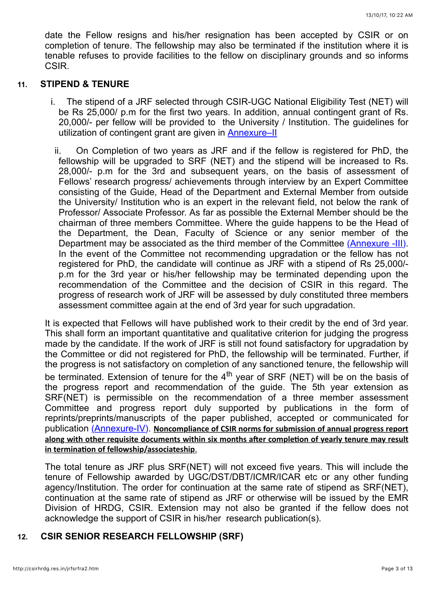date the Fellow resigns and his/her resignation has been accepted by CSIR or on completion of tenure. The fellowship may also be terminated if the institution where it is tenable refuses to provide facilities to the fellow on disciplinary grounds and so informs CSIR.

#### **11. STIPEND & TENURE**

- i. The stipend of a JRF selected through CSIR-UGC National Eligibility Test (NET) will be Rs 25,000/ p.m for the first two years. In addition, annual contingent grant of Rs. 20,000/- per fellow will be provided to the University / Institution. The guidelines for utilization of contingent grant are given in [Annexure–II](http://www.csirhrdg.res.in/srf_anx_2.pdf)
- ii. On Completion of two years as JRF and if the fellow is registered for PhD, the fellowship will be upgraded to SRF (NET) and the stipend will be increased to Rs. 28,000/- p.m for the 3rd and subsequent years, on the basis of assessment of Fellows' research progress/ achievements through interview by an Expert Committee consisting of the Guide, Head of the Department and External Member from outside the University/ Institution who is an expert in the relevant field, not below the rank of Professor/ Associate Professor. As far as possible the External Member should be the chairman of three members Committee. Where the guide happens to be the Head of the Department, the Dean, Faculty of Science or any senior member of the Department may be associated as the third member of the Committee [\(Annexure -III\)](http://www.csirhrdg.res.in/srf_anx_3.pdf). In the event of the Committee not recommending upgradation or the fellow has not registered for PhD, the candidate will continue as JRF with a stipend of Rs 25,000/ p.m for the 3rd year or his/her fellowship may be terminated depending upon the recommendation of the Committee and the decision of CSIR in this regard. The progress of research work of JRF will be assessed by duly constituted three members assessment committee again at the end of 3rd year for such upgradation.

It is expected that Fellows will have published work to their credit by the end of 3rd year. This shall form an important quantitative and qualitative criterion for judging the progress made by the candidate. If the work of JRF is still not found satisfactory for upgradation by the Committee or did not registered for PhD, the fellowship will be terminated. Further, if the progress is not satisfactory on completion of any sanctioned tenure, the fellowship will be terminated. Extension of tenure for the 4<sup>th</sup> year of SRF (NET) will be on the basis of the progress report and recommendation of the guide. The 5th year extension as SRF(NET) is permissible on the recommendation of a three member assessment Committee and progress report duly supported by publications in the form of reprints/preprints/manuscripts of the paper published, accepted or communicated for publication [\(Annexure-IV\)](http://www.csirhrdg.res.in/srf_anx_4.pdf). Noncompliance of CSIR norms for submission of annual progress report along with other requisite documents within six months after completion of yearly tenure may result in termination of fellowship/associateship.

The total tenure as JRF plus SRF(NET) will not exceed five years. This will include the tenure of Fellowship awarded by UGC/DST/DBT/ICMR/ICAR etc or any other funding agency/Institution. The order for continuation at the same rate of stipend as SRF(NET), continuation at the same rate of stipend as JRF or otherwise will be issued by the EMR Division of HRDG, CSIR. Extension may not also be granted if the fellow does not acknowledge the support of CSIR in his/her research publication(s).

## **12. CSIR SENIOR RESEARCH FELLOWSHIP (SRF)**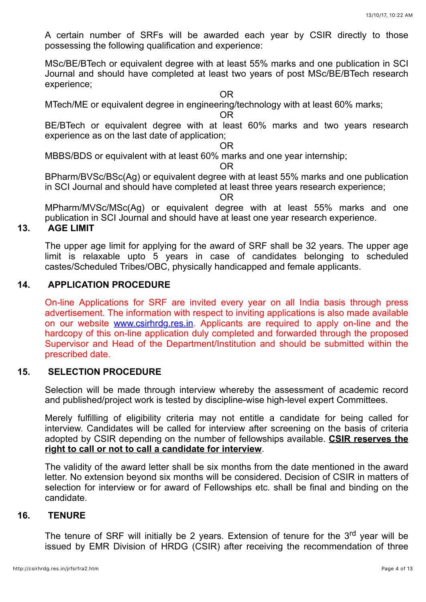A certain number of SRFs will be awarded each year by CSIR directly to those possessing the following qualification and experience:

MSc/BE/BTech or equivalent degree with at least 55% marks and one publication in SCI Journal and should have completed at least two years of post MSc/BE/BTech research experience;

OR

MTech/ME or equivalent degree in engineering/technology with at least 60% marks;

OR

BE/BTech or equivalent degree with at least 60% marks and two years research experience as on the last date of application;

OR

MBBS/BDS or equivalent with at least 60% marks and one year internship;

OR

BPharm/BVSc/BSc(Ag) or equivalent degree with at least 55% marks and one publication in SCI Journal and should have completed at least three years research experience;

OR

MPharm/MVSc/MSc(Ag) or equivalent degree with at least 55% marks and one publication in SCI Journal and should have at least one year research experience.

# **13. AGE LIMIT**

The upper age limit for applying for the award of SRF shall be 32 years. The upper age limit is relaxable upto 5 years in case of candidates belonging to scheduled castes/Scheduled Tribes/OBC, physically handicapped and female applicants.

#### **14. APPLICATION PROCEDURE**

On-line Applications for SRF are invited every year on all India basis through press advertisement. The information with respect to inviting applications is also made available on our website [www.csirhrdg.res.in](http://www.csirhrdg.res.in/). Applicants are required to apply on-line and the hardcopy of this on-line application duly completed and forwarded through the proposed Supervisor and Head of the Department/Institution and should be submitted within the prescribed date.

## **15. SELECTION PROCEDURE**

Selection will be made through interview whereby the assessment of academic record and published/project work is tested by discipline-wise high-level expert Committees.

Merely fulfilling of eligibility criteria may not entitle a candidate for being called for interview. Candidates will be called for interview after screening on the basis of criteria adopted by CSIR depending on the number of fellowships available. **CSIR reserves the right to call or not to call a candidate for interview**.

The validity of the award letter shall be six months from the date mentioned in the award letter. No extension beyond six months will be considered. Decision of CSIR in matters of selection for interview or for award of Fellowships etc. shall be final and binding on the candidate.

#### **16. TENURE**

The tenure of SRF will initially be 2 years. Extension of tenure for the 3<sup>rd</sup> year will be issued by EMR Division of HRDG (CSIR) after receiving the recommendation of three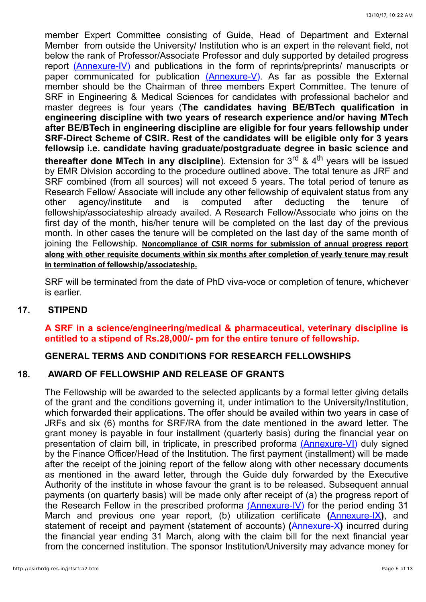member Expert Committee consisting of Guide, Head of Department and External Member from outside the University/ Institution who is an expert in the relevant field, not below the rank of Professor/Associate Professor and duly supported by detailed progress report [\(Annexure-IV\)](http://www.csirhrdg.res.in/srf_anx_4.pdf) and publications in the form of reprints/preprints/ manuscripts or paper communicated for publication [\(Annexure-V\).](http://www.csirhrdg.res.in/srf_anx_5.pdf) As far as possible the External member should be the Chairman of three members Expert Committee. The tenure of SRF in Engineering & Medical Sciences for candidates with professional bachelor and master degrees is four years (**The candidates having BE/BTech qualification in engineering discipline with two years of research experience and/or having MTech after BE/BTech in engineering discipline are eligible for four years fellowship under SRF-Direct Scheme of CSIR. Rest of the candidates will be eligible only for 3 years fellowsip i.e. candidate having graduate/postgraduate degree in basic science and thereafter done MTech in any discipline**). Extension for 3<sup>rd</sup> & 4<sup>th</sup> years will be issued by EMR Division according to the procedure outlined above. The total tenure as JRF and SRF combined (from all sources) will not exceed 5 years. The total period of tenure as Research Fellow/ Associate will include any other fellowship of equivalent status from any other agency/institute and is computed after deducting the tenure of fellowship/associateship already availed. A Research Fellow/Associate who joins on the first day of the month, his/her tenure will be completed on the last day of the previous month. In other cases the tenure will be completed on the last day of the same month of joining the Fellowship. Noncompliance of CSIR norms for submission of annual progress report along with other requisite documents within six months after completion of yearly tenure may result in termination of fellowship/associateship.

SRF will be terminated from the date of PhD viva-voce or completion of tenure, whichever is earlier.

#### **17. STIPEND**

### **A SRF in a science/engineering/medical & pharmaceutical, veterinary discipline is entitled to a stipend of Rs.28,000/- pm for the entire tenure of fellowship.**

### **GENERAL TERMS AND CONDITIONS FOR RESEARCH FELLOWSHIPS**

#### **18. AWARD OF FELLOWSHIP AND RELEASE OF GRANTS**

The Fellowship will be awarded to the selected applicants by a formal letter giving details of the grant and the conditions governing it, under intimation to the University/Institution, which forwarded their applications. The offer should be availed within two years in case of JRFs and six (6) months for SRF/RA from the date mentioned in the award letter. The grant money is payable in four installment (quarterly basis) during the financial year on presentation of claim bill, in triplicate, in prescribed proforma [\(Annexure-VI\)](http://www.csirhrdg.res.in/DBTIndi_May2017.pdf) duly signed by the Finance Officer/Head of the Institution. The first payment (installment) will be made after the receipt of the joining report of the fellow along with other necessary documents as mentioned in the award letter, through the Guide duly forwarded by the Executive Authority of the institute in whose favour the grant is to be released. Subsequent annual payments (on quarterly basis) will be made only after receipt of (a) the progress report of the Research Fellow in the prescribed proforma [\(Annexure-IV\)](http://www.csirhrdg.res.in/srf_anx_4.pdf) for the period ending 31 March and previous one year report, (b) utilization certificate **(**[Annexure-IX](http://www.csirhrdg.res.in/srf_anx_9.pdf)**)**, and statement of receipt and payment (statement of accounts) **(**[Annexure-X](http://www.csirhrdg.res.in/srf_anx_10.pdf)**)** incurred during the financial year ending 31 March, along with the claim bill for the next financial year from the concerned institution. The sponsor Institution/University may advance money for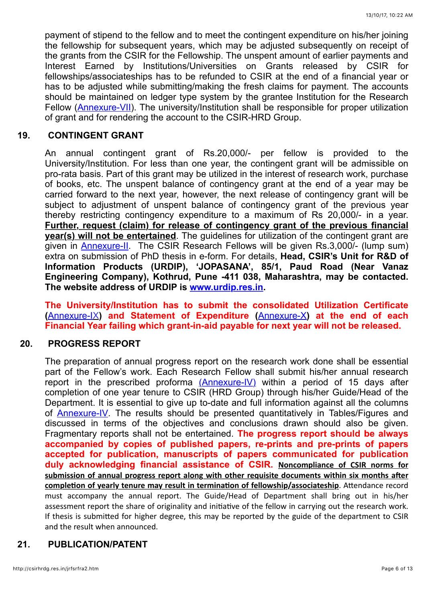payment of stipend to the fellow and to meet the contingent expenditure on his/her joining the fellowship for subsequent years, which may be adjusted subsequently on receipt of the grants from the CSIR for the Fellowship. The unspent amount of earlier payments and Interest Earned by Institutions/Universities on Grants released by CSIR for fellowships/associateships has to be refunded to CSIR at the end of a financial year or has to be adjusted while submitting/making the fresh claims for payment. The accounts should be maintained on ledger type system by the grantee Institution for the Research Fellow [\(Annexure-VII](http://www.csirhrdg.res.in/srf_anx_7.pdf)). The university/Institution shall be responsible for proper utilization of grant and for rendering the account to the CSIR-HRD Group.

#### **19. CONTINGENT GRANT**

An annual contingent grant of Rs.20,000/- per fellow is provided to the University/Institution. For less than one year, the contingent grant will be admissible on pro-rata basis. Part of this grant may be utilized in the interest of research work, purchase of books, etc. The unspent balance of contingency grant at the end of a year may be carried forward to the next year, however, the next release of contingency grant will be subject to adjustment of unspent balance of contingency grant of the previous year thereby restricting contingency expenditure to a maximum of Rs 20,000/- in a year. **Further, request (claim) for release of contingency grant of the previous financial year(s) will not be entertained**. The guidelines for utilization of the contingent grant are given in [Annexure-II.](http://www.csirhrdg.res.in/srf_anx_2.pdf) The CSIR Research Fellows will be given Rs.3,000/- (lump sum) extra on submission of PhD thesis in e-form. For details, **Head, CSIR's Unit for R&D of Information Products (URDIP), 'JOPASANA', 85/1, Paud Road (Near Vanaz Engineering Company), Kothrud, Pune -411 038, Maharashtra, may be contacted. The website address of URDIP is [www.urdip.res.in.](http://www.urdip.res.in/)**

**The University/Institution has to submit the consolidated Utilization Certificate (**[Annexure-IX](http://www.csirhrdg.res.in/srf_anx_9.pdf)**) and Statement of Expenditure (**[Annexure-X](http://www.csirhrdg.res.in/srf_anx_10.pdf)**) at the end of each Financial Year failing which grant-in-aid payable for next year will not be released.**

#### **20. PROGRESS REPORT**

The preparation of annual progress report on the research work done shall be essential part of the Fellow's work. Each Research Fellow shall submit his/her annual research report in the prescribed proforma [\(Annexure-IV\)](http://www.csirhrdg.res.in/srf_anx_4.pdf) within a period of 15 days after completion of one year tenure to CSIR (HRD Group) through his/her Guide/Head of the Department. It is essential to give up to-date and full information against all the columns of [Annexure-IV](http://www.csirhrdg.res.in/srf_anx_4.pdf). The results should be presented quantitatively in Tables/Figures and discussed in terms of the objectives and conclusions drawn should also be given. Fragmentary reports shall not be entertained. **The progress report should be always accompanied by copies of published papers, re-prints and pre-prints of papers accepted for publication, manuscripts of papers communicated for publication duly acknowledging financial assistance of CSIR. Noncompliance of CSIR norms for** submission of annual progress report along with other requisite documents within six months after completion of yearly tenure may result in termination of fellowship/associateship. Attendance record must accompany the annual report. The Guide/Head of Department shall bring out in his/her assessment report the share of originality and initiative of the fellow in carrying out the research work. If thesis is submitted for higher degree, this may be reported by the guide of the department to CSIR and the result when announced.

#### **21. PUBLICATION/PATENT**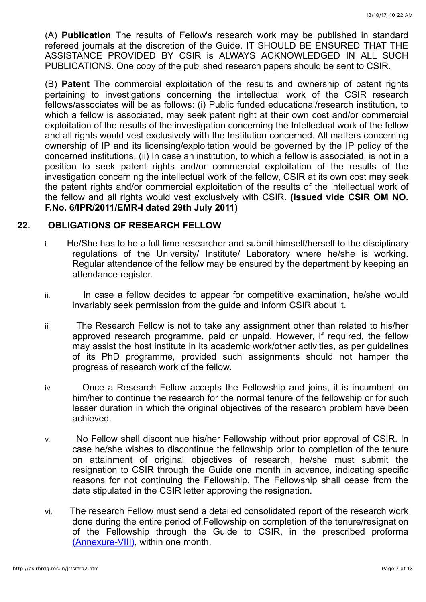(A) **Publication** The results of Fellow's research work may be published in standard refereed journals at the discretion of the Guide. IT SHOULD BE ENSURED THAT THE ASSISTANCE PROVIDED BY CSIR is ALWAYS ACKNOWLEDGED IN ALL SUCH PUBLICATIONS. One copy of the published research papers should be sent to CSIR.

(B) **Patent** The commercial exploitation of the results and ownership of patent rights pertaining to investigations concerning the intellectual work of the CSIR research fellows/associates will be as follows: (i) Public funded educational/research institution, to which a fellow is associated, may seek patent right at their own cost and/or commercial exploitation of the results of the investigation concerning the Intellectual work of the fellow and all rights would vest exclusively with the Institution concerned. All matters concerning ownership of IP and its licensing/exploitation would be governed by the IP policy of the concerned institutions. (ii) In case an institution, to which a fellow is associated, is not in a position to seek patent rights and/or commercial exploitation of the results of the investigation concerning the intellectual work of the fellow, CSIR at its own cost may seek the patent rights and/or commercial exploitation of the results of the intellectual work of the fellow and all rights would vest exclusively with CSIR. **(Issued vide CSIR OM NO. F.No. 6/IPR/2011/EMR-I dated 29th July 2011)**

#### **22. OBLIGATIONS OF RESEARCH FELLOW**

- i. He/She has to be a full time researcher and submit himself/herself to the disciplinary regulations of the University/ Institute/ Laboratory where he/she is working. Regular attendance of the fellow may be ensured by the department by keeping an attendance register.
- ii. In case a fellow decides to appear for competitive examination, he/she would invariably seek permission from the guide and inform CSIR about it.
- iii. The Research Fellow is not to take any assignment other than related to his/her approved research programme, paid or unpaid. However, if required, the fellow may assist the host institute in its academic work/other activities, as per guidelines of its PhD programme, provided such assignments should not hamper the progress of research work of the fellow.
- iv. Once a Research Fellow accepts the Fellowship and joins, it is incumbent on him/her to continue the research for the normal tenure of the fellowship or for such lesser duration in which the original objectives of the research problem have been achieved.
- v. No Fellow shall discontinue his/her Fellowship without prior approval of CSIR. In case he/she wishes to discontinue the fellowship prior to completion of the tenure on attainment of original objectives of research, he/she must submit the resignation to CSIR through the Guide one month in advance, indicating specific reasons for not continuing the Fellowship. The Fellowship shall cease from the date stipulated in the CSIR letter approving the resignation.
- vi. The research Fellow must send a detailed consolidated report of the research work done during the entire period of Fellowship on completion of the tenure/resignation of the Fellowship through the Guide to CSIR, in the prescribed proforma [\(Annexure-VIII\)](http://www.csirhrdg.res.in/srf_anx_8.pdf), within one month.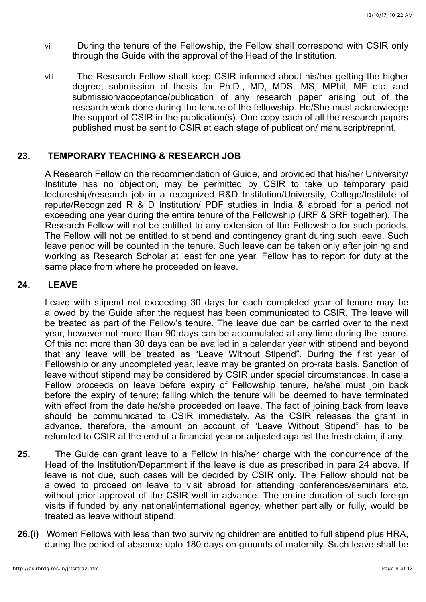- vii. During the tenure of the Fellowship, the Fellow shall correspond with CSIR only through the Guide with the approval of the Head of the Institution.
- viii. The Research Fellow shall keep CSIR informed about his/her getting the higher degree, submission of thesis for Ph.D., MD, MDS, MS, MPhil, ME etc. and submission/acceptance/publication of any research paper arising out of the research work done during the tenure of the fellowship. He/She must acknowledge the support of CSIR in the publication(s). One copy each of all the research papers published must be sent to CSIR at each stage of publication/ manuscript/reprint.

#### **23. TEMPORARY TEACHING & RESEARCH JOB**

A Research Fellow on the recommendation of Guide, and provided that his/her University/ Institute has no objection, may be permitted by CSIR to take up temporary paid lectureship/research job in a recognized R&D Institution/University, College/Institute of repute/Recognized R & D Institution/ PDF studies in India & abroad for a period not exceeding one year during the entire tenure of the Fellowship (JRF & SRF together). The Research Fellow will not be entitled to any extension of the Fellowship for such periods. The Fellow will not be entitled to stipend and contingency grant during such leave. Such leave period will be counted in the tenure. Such leave can be taken only after joining and working as Research Scholar at least for one year. Fellow has to report for duty at the same place from where he proceeded on leave.

#### **24. LEAVE**

Leave with stipend not exceeding 30 days for each completed year of tenure may be allowed by the Guide after the request has been communicated to CSIR. The leave will be treated as part of the Fellow's tenure. The leave due can be carried over to the next year, however not more than 90 days can be accumulated at any time during the tenure. Of this not more than 30 days can be availed in a calendar year with stipend and beyond that any leave will be treated as "Leave Without Stipend". During the first year of Fellowship or any uncompleted year, leave may be granted on pro-rata basis. Sanction of leave without stipend may be considered by CSIR under special circumstances. In case a Fellow proceeds on leave before expiry of Fellowship tenure, he/she must join back before the expiry of tenure; failing which the tenure will be deemed to have terminated with effect from the date he/she proceeded on leave. The fact of joining back from leave should be communicated to CSIR immediately. As the CSIR releases the grant in advance, therefore, the amount on account of "Leave Without Stipend" has to be refunded to CSIR at the end of a financial year or adjusted against the fresh claim, if any.

- **25.** The Guide can grant leave to a Fellow in his/her charge with the concurrence of the Head of the Institution/Department if the leave is due as prescribed in para 24 above. If leave is not due, such cases will be decided by CSIR only. The Fellow should not be allowed to proceed on leave to visit abroad for attending conferences/seminars etc. without prior approval of the CSIR well in advance. The entire duration of such foreign visits if funded by any national/international agency, whether partially or fully, would be treated as leave without stipend.
- **26.(i)** Women Fellows with less than two surviving children are entitled to full stipend plus HRA, during the period of absence upto 180 days on grounds of maternity. Such leave shall be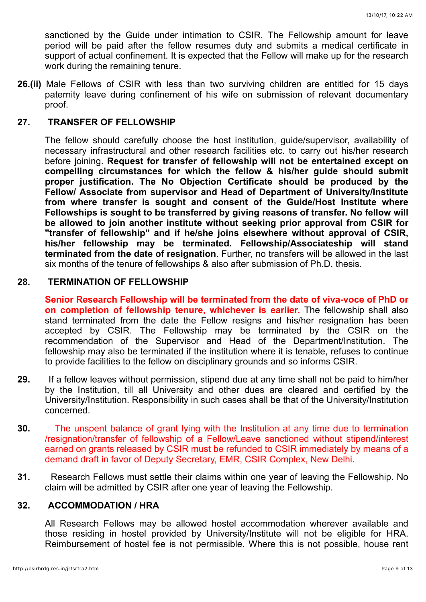sanctioned by the Guide under intimation to CSIR. The Fellowship amount for leave period will be paid after the fellow resumes duty and submits a medical certificate in support of actual confinement. It is expected that the Fellow will make up for the research work during the remaining tenure.

**26.(ii)** Male Fellows of CSIR with less than two surviving children are entitled for 15 days paternity leave during confinement of his wife on submission of relevant documentary proof.

#### **27. TRANSFER OF FELLOWSHIP**

The fellow should carefully choose the host institution, guide/supervisor, availability of necessary infrastructural and other research facilities etc. to carry out his/her research before joining. **Request for transfer of fellowship will not be entertained except on compelling circumstances for which the fellow & his/her guide should submit proper justification. The No Objection Certificate should be produced by the Fellow/ Associate from supervisor and Head of Department of University/Institute from where transfer is sought and consent of the Guide/Host Institute where Fellowships is sought to be transferred by giving reasons of transfer. No fellow will be allowed to join another institute without seeking prior approval from CSIR for "transfer of fellowship" and if he/she joins elsewhere without approval of CSIR, his/her fellowship may be terminated. Fellowship/Associateship will stand terminated from the date of resignation**. Further, no transfers will be allowed in the last six months of the tenure of fellowships & also after submission of Ph.D. thesis.

#### **28. TERMINATION OF FELLOWSHIP**

**Senior Research Fellowship will be terminated from the date of viva-voce of PhD or on completion of fellowship tenure, whichever is earlier.** The fellowship shall also stand terminated from the date the Fellow resigns and his/her resignation has been accepted by CSIR. The Fellowship may be terminated by the CSIR on the recommendation of the Supervisor and Head of the Department/Institution. The fellowship may also be terminated if the institution where it is tenable, refuses to continue to provide facilities to the fellow on disciplinary grounds and so informs CSIR.

- **29.** If a fellow leaves without permission, stipend due at any time shall not be paid to him/her by the Institution, till all University and other dues are cleared and certified by the University/Institution. Responsibility in such cases shall be that of the University/Institution concerned.
- **30.** The unspent balance of grant lying with the Institution at any time due to termination /resignation/transfer of fellowship of a Fellow/Leave sanctioned without stipend/interest earned on grants released by CSIR must be refunded to CSIR immediately by means of a demand draft in favor of Deputy Secretary, EMR, CSIR Complex, New Delhi.
- **31.** Research Fellows must settle their claims within one year of leaving the Fellowship. No claim will be admitted by CSIR after one year of leaving the Fellowship.

### **32. ACCOMMODATION / HRA**

All Research Fellows may be allowed hostel accommodation wherever available and those residing in hostel provided by University/Institute will not be eligible for HRA. Reimbursement of hostel fee is not permissible. Where this is not possible, house rent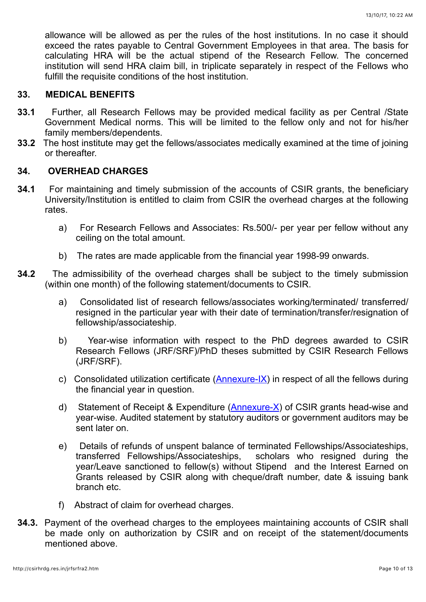allowance will be allowed as per the rules of the host institutions. In no case it should exceed the rates payable to Central Government Employees in that area. The basis for calculating HRA will be the actual stipend of the Research Fellow. The concerned institution will send HRA claim bill, in triplicate separately in respect of the Fellows who fulfill the requisite conditions of the host institution.

#### **33. MEDICAL BENEFITS**

- **33.1** Further, all Research Fellows may be provided medical facility as per Central /State Government Medical norms. This will be limited to the fellow only and not for his/her family members/dependents.
- **33.2** The host institute may get the fellows/associates medically examined at the time of joining or thereafter.

#### **34. OVERHEAD CHARGES**

- **34.1** For maintaining and timely submission of the accounts of CSIR grants, the beneficiary University/Institution is entitled to claim from CSIR the overhead charges at the following rates.
	- a) For Research Fellows and Associates: Rs.500/- per year per fellow without any ceiling on the total amount.
	- b) The rates are made applicable from the financial year 1998-99 onwards.
- **34.2** The admissibility of the overhead charges shall be subject to the timely submission (within one month) of the following statement/documents to CSIR.
	- a) Consolidated list of research fellows/associates working/terminated/ transferred/ resigned in the particular year with their date of termination/transfer/resignation of fellowship/associateship.
	- b) Year-wise information with respect to the PhD degrees awarded to CSIR Research Fellows (JRF/SRF)/PhD theses submitted by CSIR Research Fellows (JRF/SRF).
	- c) Consolidated utilization certificate ([Annexure-IX\)](http://www.csirhrdg.res.in/srf_anx_9.pdf) in respect of all the fellows during the financial year in question.
	- d) Statement of Receipt & Expenditure  $(Anhexure-X)$  of CSIR grants head-wise and year-wise. Audited statement by statutory auditors or government auditors may be sent later on.
	- e) Details of refunds of unspent balance of terminated Fellowships/Associateships, transferred Fellowships/Associateships, scholars who resigned during the year/Leave sanctioned to fellow(s) without Stipend and the Interest Earned on Grants released by CSIR along with cheque/draft number, date & issuing bank branch etc.
	- f) Abstract of claim for overhead charges.
- **34.3.** Payment of the overhead charges to the employees maintaining accounts of CSIR shall be made only on authorization by CSIR and on receipt of the statement/documents mentioned above.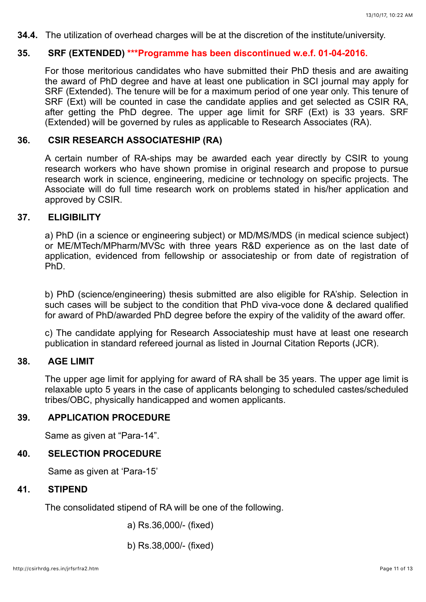**34.4.** The utilization of overhead charges will be at the discretion of the institute/university.

### **35. SRF (EXTENDED) \*\*\*Programme has been discontinued w.e.f. 01-04-2016.**

For those meritorious candidates who have submitted their PhD thesis and are awaiting the award of PhD degree and have at least one publication in SCI journal may apply for SRF (Extended). The tenure will be for a maximum period of one year only. This tenure of SRF (Ext) will be counted in case the candidate applies and get selected as CSIR RA, after getting the PhD degree. The upper age limit for SRF (Ext) is 33 years. SRF (Extended) will be governed by rules as applicable to Research Associates (RA).

### **36. CSIR RESEARCH ASSOCIATESHIP (RA)**

A certain number of RA-ships may be awarded each year directly by CSIR to young research workers who have shown promise in original research and propose to pursue research work in science, engineering, medicine or technology on specific projects. The Associate will do full time research work on problems stated in his/her application and approved by CSIR.

# **37. ELIGIBILITY**

a) PhD (in a science or engineering subject) or MD/MS/MDS (in medical science subject) or ME/MTech/MPharm/MVSc with three years R&D experience as on the last date of application, evidenced from fellowship or associateship or from date of registration of PhD.

b) PhD (science/engineering) thesis submitted are also eligible for RA'ship. Selection in such cases will be subject to the condition that PhD viva-voce done & declared qualified for award of PhD/awarded PhD degree before the expiry of the validity of the award offer.

c) The candidate applying for Research Associateship must have at least one research publication in standard refereed journal as listed in Journal Citation Reports (JCR).

#### **38. AGE LIMIT**

The upper age limit for applying for award of RA shall be 35 years. The upper age limit is relaxable upto 5 years in the case of applicants belonging to scheduled castes/scheduled tribes/OBC, physically handicapped and women applicants.

#### **39. APPLICATION PROCEDURE**

Same as given at "Para-14".

### **40. SELECTION PROCEDURE**

Same as given at 'Para-15'

### **41. STIPEND**

The consolidated stipend of RA will be one of the following.

a) Rs.36,000/- (fixed)

b) Rs.38,000/- (fixed)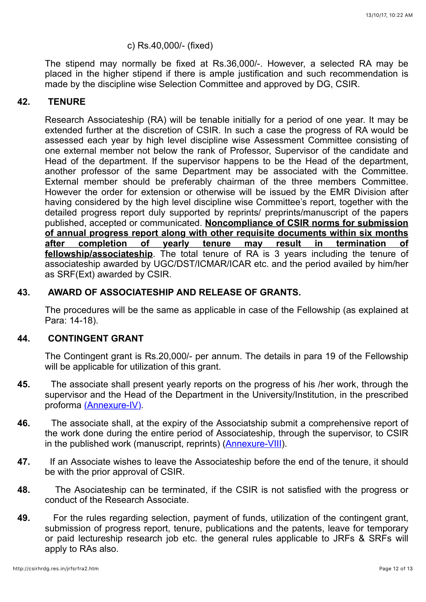#### c) Rs.40,000/- (fixed)

The stipend may normally be fixed at Rs.36,000/-. However, a selected RA may be placed in the higher stipend if there is ample justification and such recommendation is made by the discipline wise Selection Committee and approved by DG, CSIR.

#### **42. TENURE**

Research Associateship (RA) will be tenable initially for a period of one year. It may be extended further at the discretion of CSIR. In such a case the progress of RA would be assessed each year by high level discipline wise Assessment Committee consisting of one external member not below the rank of Professor, Supervisor of the candidate and Head of the department. If the supervisor happens to be the Head of the department, another professor of the same Department may be associated with the Committee. External member should be preferably chairman of the three members Committee. However the order for extension or otherwise will be issued by the EMR Division after having considered by the high level discipline wise Committee's report, together with the detailed progress report duly supported by reprints/ preprints/manuscript of the papers published, accepted or communicated. **Noncompliance of CSIR norms for submission of annual progress report along with other requisite documents within six months after completion of yearly tenure may result in termination of fellowship/associateship**. The total tenure of RA is 3 years including the tenure of associateship awarded by UGC/DST/ICMAR/ICAR etc. and the period availed by him/her as SRF(Ext) awarded by CSIR.

#### **43. AWARD OF ASSOCIATESHIP AND RELEASE OF GRANTS.**

The procedures will be the same as applicable in case of the Fellowship (as explained at Para: 14-18).

#### **44. CONTINGENT GRANT**

The Contingent grant is Rs.20,000/- per annum. The details in para 19 of the Fellowship will be applicable for utilization of this grant.

- **45.** The associate shall present yearly reports on the progress of his /her work, through the supervisor and the Head of the Department in the University/Institution, in the prescribed proforma [\(Annexure-IV\)](http://www.csirhrdg.res.in/srf_anx_4.pdf).
- **46.** The associate shall, at the expiry of the Associatship submit a comprehensive report of the work done during the entire period of Associateship, through the supervisor, to CSIR in the published work (manuscript, reprints) [\(Annexure-VIII\)](http://www.csirhrdg.res.in/srf_anx_8.pdf).
- **47.** If an Associate wishes to leave the Associateship before the end of the tenure, it should be with the prior approval of CSIR.
- **48.** The Asociateship can be terminated, if the CSIR is not satisfied with the progress or conduct of the Research Associate.
- **49.** For the rules regarding selection, payment of funds, utilization of the contingent grant, submission of progress report, tenure, publications and the patents, leave for temporary or paid lectureship research job etc. the general rules applicable to JRFs & SRFs will apply to RAs also.